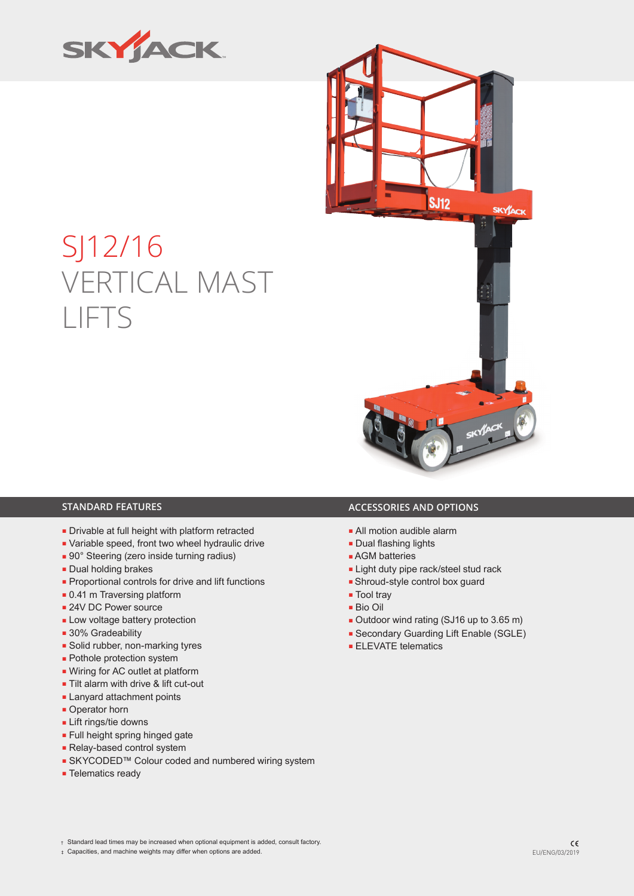

# SJ12/16 VERTICAL MAST LIFTS



- Drivable at full height with platform retracted
- Variable speed, front two wheel hydraulic drive
- 90° Steering (zero inside turning radius)
- Dual holding brakes
- Proportional controls for drive and lift functions
- 0.41 m Traversing platform
- 24V DC Power source
- Low voltage battery protection
- 30% Gradeability
- Solid rubber, non-marking tyres
- Pothole protection system
- Wiring for AC outlet at platform
- Tilt alarm with drive & lift cut-out
- Lanyard attachment points
- Operator horn
- Lift rings/tie downs
- Full height spring hinged gate
- Relay-based control system
- SKYCODED™ Colour coded and numbered wiring system
- Telematics ready

## **STANDARD FEATURES ACCESSORIES AND OPTIONS**

- All motion audible alarm
- Dual flashing lights
- AGM batteries
- Light duty pipe rack/steel stud rack
- Shroud-style control box guard
- Tool trav
- Bio Oil
- Outdoor wind rating (SJ16 up to 3.65 m)
- Secondary Guarding Lift Enable (SGLE)
- ELEVATE telematics

‡ Capacities, and machine weights may differ when options are added. EU/ENG/03/2019

<sup>†</sup> Standard lead times may be increased when optional equipment is added, consult factory.